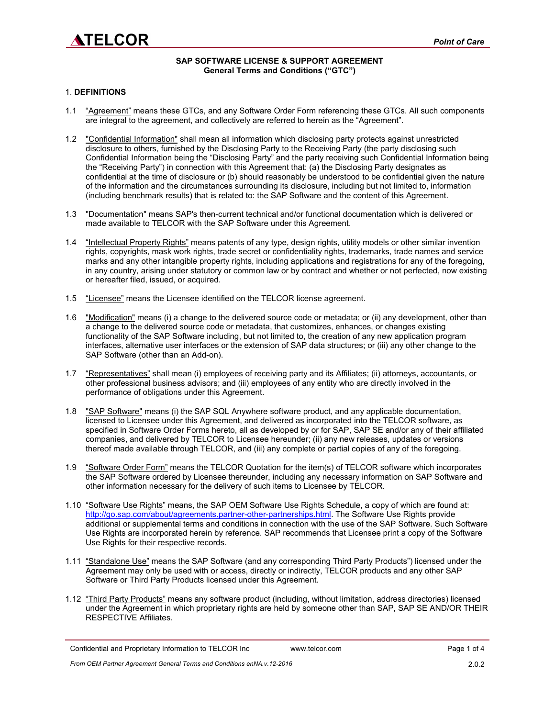# **ATELCOR**

## **SAP SOFTWARE LICENSE & SUPPORT AGREEMENT General Terms and Conditions ("GTC")**

## 1. **DEFINITIONS**

- 1.1 "Agreement" means these GTCs, and any Software Order Form referencing these GTCs. All such components are integral to the agreement, and collectively are referred to herein as the "Agreement".
- 1.2 "Confidential Information" shall mean all information which disclosing party protects against unrestricted disclosure to others, furnished by the Disclosing Party to the Receiving Party (the party disclosing such Confidential Information being the "Disclosing Party" and the party receiving such Confidential Information being the "Receiving Party") in connection with this Agreement that: (a) the Disclosing Party designates as confidential at the time of disclosure or (b) should reasonably be understood to be confidential given the nature of the information and the circumstances surrounding its disclosure, including but not limited to, information (including benchmark results) that is related to: the SAP Software and the content of this Agreement.
- 1.3 "Documentation" means SAP's then-current technical and/or functional documentation which is delivered or made available to TELCOR with the SAP Software under this Agreement.
- 1.4 "Intellectual Property Rights" means patents of any type, design rights, utility models or other similar invention rights, copyrights, mask work rights, trade secret or confidentiality rights, trademarks, trade names and service marks and any other intangible property rights, including applications and registrations for any of the foregoing, in any country, arising under statutory or common law or by contract and whether or not perfected, now existing or hereafter filed, issued, or acquired.
- 1.5 "Licensee" means the Licensee identified on the TELCOR license agreement.
- 1.6 "Modification" means (i) a change to the delivered source code or metadata; or (ii) any development, other than a change to the delivered source code or metadata, that customizes, enhances, or changes existing functionality of the SAP Software including, but not limited to, the creation of any new application program interfaces, alternative user interfaces or the extension of SAP data structures; or (iii) any other change to the SAP Software (other than an Add-on).
- 1.7 "Representatives" shall mean (i) employees of receiving party and its Affiliates; (ii) attorneys, accountants, or other professional business advisors; and (iii) employees of any entity who are directly involved in the performance of obligations under this Agreement.
- 1.8 "SAP Software" means (i) the SAP SQL Anywhere software product, and any applicable documentation, licensed to Licensee under this Agreement, and delivered as incorporated into the TELCOR software, as specified in Software Order Forms hereto, all as developed by or for SAP, SAP SE and/or any of their affiliated companies, and delivered by TELCOR to Licensee hereunder; (ii) any new releases, updates or versions thereof made available through TELCOR, and (iii) any complete or partial copies of any of the foregoing.
- 1.9 "Software Order Form" means the TELCOR Quotation for the item(s) of TELCOR software which incorporates the SAP Software ordered by Licensee thereunder, including any necessary information on SAP Software and other information necessary for the delivery of such items to Licensee by TELCOR.
- 1.10 "Software Use Rights" means, the SAP OEM Software Use Rights Schedule, a copy of which are found at: [http://go.sap.com/about/agreements.partner-other-partnerships.html.](http://go.sap.com/about/agreements.partner-other-partnerships.html) The Software Use Rights provide additional or supplemental terms and conditions in connection with the use of the SAP Software. Such Software Use Rights are incorporated herein by reference. SAP recommends that Licensee print a copy of the Software Use Rights for their respective records.
- 1.11 "Standalone Use" means the SAP Software (and any corresponding Third Party Products") licensed under the Agreement may only be used with or access, directly or indirectly, TELCOR products and any other SAP Software or Third Party Products licensed under this Agreement.
- 1.12 "Third Party Products" means any software product (including, without limitation, address directories) licensed under the Agreement in which proprietary rights are held by someone other than SAP, SAP SE AND/OR THEIR RESPECTIVE Affiliates.

Confidential and Proprietary Information to TELCOR Inc www.telcor.com Page 1 of 4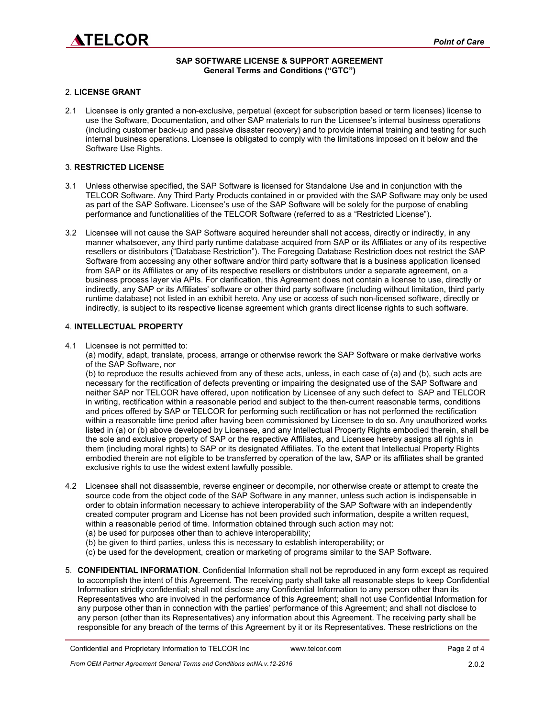

# **SAP SOFTWARE LICENSE & SUPPORT AGREEMENT General Terms and Conditions ("GTC")**

#### 2. **LICENSE GRANT**

2.1 Licensee is only granted a non-exclusive, perpetual (except for subscription based or term licenses) license to use the Software, Documentation, and other SAP materials to run the Licensee's internal business operations (including customer back-up and passive disaster recovery) and to provide internal training and testing for such internal business operations. Licensee is obligated to comply with the limitations imposed on it below and the Software Use Rights.

#### 3. **RESTRICTED LICENSE**

- 3.1 Unless otherwise specified, the SAP Software is licensed for Standalone Use and in conjunction with the TELCOR Software. Any Third Party Products contained in or provided with the SAP Software may only be used as part of the SAP Software. Licensee's use of the SAP Software will be solely for the purpose of enabling performance and functionalities of the TELCOR Software (referred to as a "Restricted License").
- 3.2 Licensee will not cause the SAP Software acquired hereunder shall not access, directly or indirectly, in any manner whatsoever, any third party runtime database acquired from SAP or its Affiliates or any of its respective resellers or distributors ("Database Restriction"). The Foregoing Database Restriction does not restrict the SAP Software from accessing any other software and/or third party software that is a business application licensed from SAP or its Affiliates or any of its respective resellers or distributors under a separate agreement, on a business process layer via APIs. For clarification, this Agreement does not contain a license to use, directly or indirectly, any SAP or its Affiliates' software or other third party software (including without limitation, third party runtime database) not listed in an exhibit hereto. Any use or access of such non-licensed software, directly or indirectly, is subject to its respective license agreement which grants direct license rights to such software.

#### 4. **INTELLECTUAL PROPERTY**

4.1 Licensee is not permitted to:

(a) modify, adapt, translate, process, arrange or otherwise rework the SAP Software or make derivative works of the SAP Software, nor

(b) to reproduce the results achieved from any of these acts, unless, in each case of (a) and (b), such acts are necessary for the rectification of defects preventing or impairing the designated use of the SAP Software and neither SAP nor TELCOR have offered, upon notification by Licensee of any such defect to SAP and TELCOR in writing, rectification within a reasonable period and subject to the then-current reasonable terms, conditions and prices offered by SAP or TELCOR for performing such rectification or has not performed the rectification within a reasonable time period after having been commissioned by Licensee to do so. Any unauthorized works listed in (a) or (b) above developed by Licensee, and any Intellectual Property Rights embodied therein, shall be the sole and exclusive property of SAP or the respective Affiliates, and Licensee hereby assigns all rights in them (including moral rights) to SAP or its designated Affiliates. To the extent that Intellectual Property Rights embodied therein are not eligible to be transferred by operation of the law, SAP or its affiliates shall be granted exclusive rights to use the widest extent lawfully possible.

- 4.2 Licensee shall not disassemble, reverse engineer or decompile, nor otherwise create or attempt to create the source code from the object code of the SAP Software in any manner, unless such action is indispensable in order to obtain information necessary to achieve interoperability of the SAP Software with an independently created computer program and License has not been provided such information, despite a written request, within a reasonable period of time. Information obtained through such action may not:
	- (a) be used for purposes other than to achieve interoperability;
	- (b) be given to third parties, unless this is necessary to establish interoperability; or
	- (c) be used for the development, creation or marketing of programs similar to the SAP Software.
- 5. **CONFIDENTIAL INFORMATION**. Confidential Information shall not be reproduced in any form except as required to accomplish the intent of this Agreement. The receiving party shall take all reasonable steps to keep Confidential Information strictly confidential; shall not disclose any Confidential Information to any person other than its Representatives who are involved in the performance of this Agreement; shall not use Confidential Information for any purpose other than in connection with the parties' performance of this Agreement; and shall not disclose to any person (other than its Representatives) any information about this Agreement. The receiving party shall be responsible for any breach of the terms of this Agreement by it or its Representatives. These restrictions on the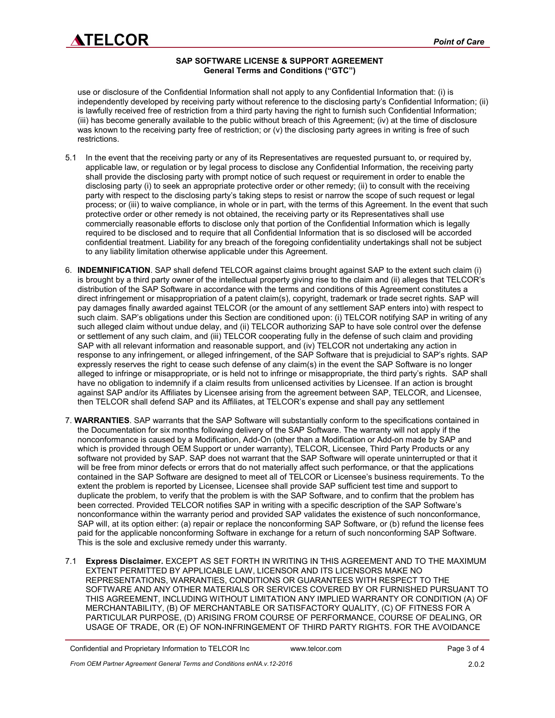# **SAP SOFTWARE LICENSE & SUPPORT AGREEMENT General Terms and Conditions ("GTC")**

use or disclosure of the Confidential Information shall not apply to any Confidential Information that: (i) is independently developed by receiving party without reference to the disclosing party's Confidential Information; (ii) is lawfully received free of restriction from a third party having the right to furnish such Confidential Information; (iii) has become generally available to the public without breach of this Agreement; (iv) at the time of disclosure was known to the receiving party free of restriction; or (v) the disclosing party agrees in writing is free of such restrictions.

- 5.1 In the event that the receiving party or any of its Representatives are requested pursuant to, or required by, applicable law, or regulation or by legal process to disclose any Confidential Information, the receiving party shall provide the disclosing party with prompt notice of such request or requirement in order to enable the disclosing party (i) to seek an appropriate protective order or other remedy; (ii) to consult with the receiving party with respect to the disclosing party's taking steps to resist or narrow the scope of such request or legal process; or (iii) to waive compliance, in whole or in part, with the terms of this Agreement. In the event that such protective order or other remedy is not obtained, the receiving party or its Representatives shall use commercially reasonable efforts to disclose only that portion of the Confidential Information which is legally required to be disclosed and to require that all Confidential Information that is so disclosed will be accorded confidential treatment. Liability for any breach of the foregoing confidentiality undertakings shall not be subject to any liability limitation otherwise applicable under this Agreement.
- 6. **INDEMNIFICATION**. SAP shall defend TELCOR against claims brought against SAP to the extent such claim (i) is brought by a third party owner of the intellectual property giving rise to the claim and (ii) alleges that TELCOR's distribution of the SAP Software in accordance with the terms and conditions of this Agreement constitutes a direct infringement or misappropriation of a patent claim(s), copyright, trademark or trade secret rights. SAP will pay damages finally awarded against TELCOR (or the amount of any settlement SAP enters into) with respect to such claim. SAP's obligations under this Section are conditioned upon: (i) TELCOR notifying SAP in writing of any such alleged claim without undue delay, and (ii) TELCOR authorizing SAP to have sole control over the defense or settlement of any such claim, and (iii) TELCOR cooperating fully in the defense of such claim and providing SAP with all relevant information and reasonable support, and (iv) TELCOR not undertaking any action in response to any infringement, or alleged infringement, of the SAP Software that is prejudicial to SAP's rights. SAP expressly reserves the right to cease such defense of any claim(s) in the event the SAP Software is no longer alleged to infringe or misappropriate, or is held not to infringe or misappropriate, the third party's rights. SAP shall have no obligation to indemnify if a claim results from unlicensed activities by Licensee. If an action is brought against SAP and/or its Affiliates by Licensee arising from the agreement between SAP, TELCOR, and Licensee, then TELCOR shall defend SAP and its Affiliates, at TELCOR's expense and shall pay any settlement
- 7. **WARRANTIES**. SAP warrants that the SAP Software will substantially conform to the specifications contained in the Documentation for six months following delivery of the SAP Software. The warranty will not apply if the nonconformance is caused by a Modification, Add-On (other than a Modification or Add-on made by SAP and which is provided through OEM Support or under warranty), TELCOR, Licensee, Third Party Products or any software not provided by SAP. SAP does not warrant that the SAP Software will operate uninterrupted or that it will be free from minor defects or errors that do not materially affect such performance, or that the applications contained in the SAP Software are designed to meet all of TELCOR or Licensee's business requirements. To the extent the problem is reported by Licensee, Licensee shall provide SAP sufficient test time and support to duplicate the problem, to verify that the problem is with the SAP Software, and to confirm that the problem has been corrected. Provided TELCOR notifies SAP in writing with a specific description of the SAP Software's nonconformance within the warranty period and provided SAP validates the existence of such nonconformance, SAP will, at its option either: (a) repair or replace the nonconforming SAP Software, or (b) refund the license fees paid for the applicable nonconforming Software in exchange for a return of such nonconforming SAP Software. This is the sole and exclusive remedy under this warranty.
- 7.1 **Express Disclaimer.** EXCEPT AS SET FORTH IN WRITING IN THIS AGREEMENT AND TO THE MAXIMUM EXTENT PERMITTED BY APPLICABLE LAW, LICENSOR AND ITS LICENSORS MAKE NO REPRESENTATIONS, WARRANTIES, CONDITIONS OR GUARANTEES WITH RESPECT TO THE SOFTWARE AND ANY OTHER MATERIALS OR SERVICES COVERED BY OR FURNISHED PURSUANT TO THIS AGREEMENT, INCLUDING WITHOUT LIMITATION ANY IMPLIED WARRANTY OR CONDITION (A) OF MERCHANTABILITY, (B) OF MERCHANTABLE OR SATISFACTORY QUALITY, (C) OF FITNESS FOR A PARTICULAR PURPOSE, (D) ARISING FROM COURSE OF PERFORMANCE, COURSE OF DEALING, OR USAGE OF TRADE, OR (E) OF NON-INFRINGEMENT OF THIRD PARTY RIGHTS. FOR THE AVOIDANCE